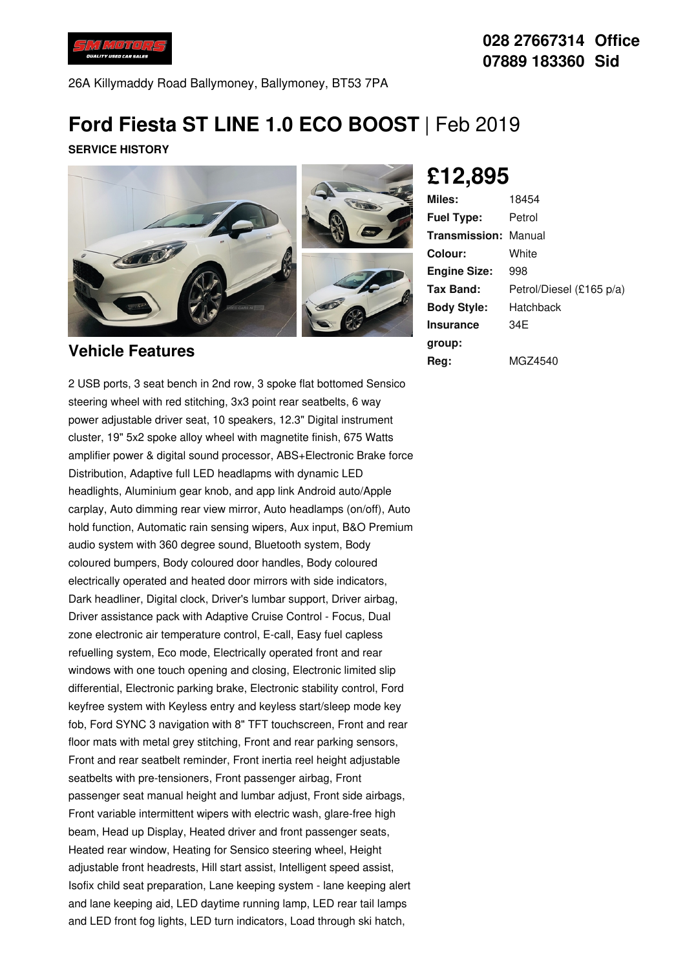

## **028 27667314 Office 07889 183360 Sid**

26A Killymaddy Road Ballymoney, Ballymoney, BT53 7PA

# **Ford Fiesta ST LINE 1.0 ECO BOOST** | Feb 2019

**SERVICE HISTORY**



#### **Vehicle Features**

2 USB ports, 3 seat bench in 2nd row, 3 spoke flat bottomed Sensico steering wheel with red stitching, 3x3 point rear seatbelts, 6 way power adjustable driver seat, 10 speakers, 12.3" Digital instrument cluster, 19" 5x2 spoke alloy wheel with magnetite finish, 675 Watts amplifier power & digital sound processor, ABS+Electronic Brake force Distribution, Adaptive full LED headlapms with dynamic LED headlights, Aluminium gear knob, and app link Android auto/Apple carplay, Auto dimming rear view mirror, Auto headlamps (on/off), Auto hold function, Automatic rain sensing wipers, Aux input, B&O Premium audio system with 360 degree sound, Bluetooth system, Body coloured bumpers, Body coloured door handles, Body coloured electrically operated and heated door mirrors with side indicators, Dark headliner, Digital clock, Driver's lumbar support, Driver airbag, Driver assistance pack with Adaptive Cruise Control - Focus, Dual zone electronic air temperature control, E-call, Easy fuel capless refuelling system, Eco mode, Electrically operated front and rear windows with one touch opening and closing, Electronic limited slip differential, Electronic parking brake, Electronic stability control, Ford keyfree system with Keyless entry and keyless start/sleep mode key fob, Ford SYNC 3 navigation with 8" TFT touchscreen, Front and rear floor mats with metal grey stitching, Front and rear parking sensors, Front and rear seatbelt reminder, Front inertia reel height adjustable seatbelts with pre-tensioners, Front passenger airbag, Front passenger seat manual height and lumbar adjust, Front side airbags, Front variable intermittent wipers with electric wash, glare-free high beam, Head up Display, Heated driver and front passenger seats, Heated rear window, Heating for Sensico steering wheel, Height adjustable front headrests, Hill start assist, Intelligent speed assist, Isofix child seat preparation, Lane keeping system - lane keeping alert and lane keeping aid, LED daytime running lamp, LED rear tail lamps and LED front fog lights, LED turn indicators, Load through ski hatch,

# **£12,895**

| Miles:                      | 18454                    |
|-----------------------------|--------------------------|
| <b>Fuel Type:</b>           | Petrol                   |
| <b>Transmission: Manual</b> |                          |
| Colour:                     | White                    |
| <b>Engine Size:</b>         | 998                      |
| Tax Band:                   | Petrol/Diesel (£165 p/a) |
| <b>Body Style:</b>          | Hatchback                |
| <b>Insurance</b>            | 34F                      |
| group:                      |                          |
| Reg:                        | MGZ4540                  |